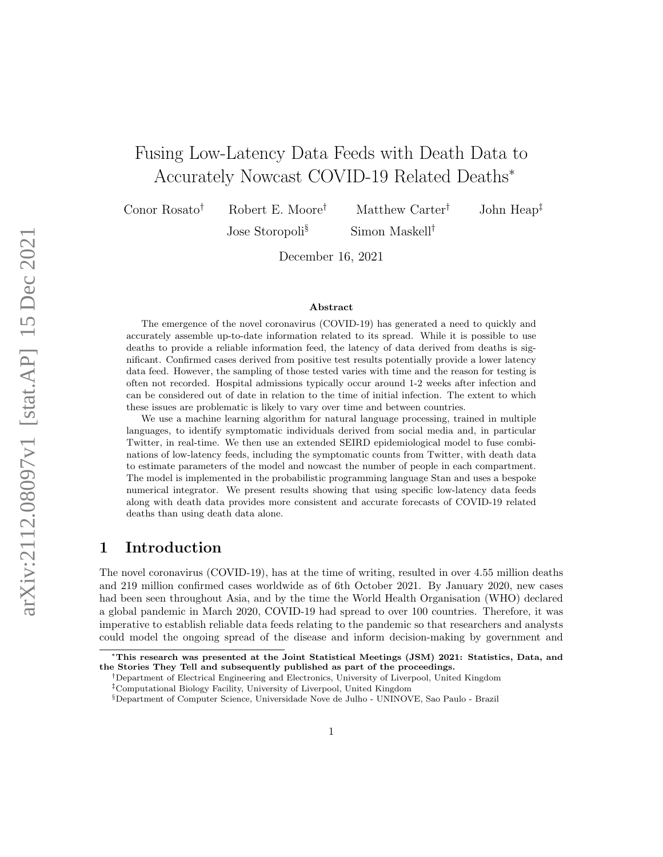# Fusing Low-Latency Data Feeds with Death Data to Accurately Nowcast COVID-19 Related Deaths<sup>∗</sup>

Conor Rosato† Robert E. Moore† Matthew Carter† John Heap‡

Jose Storopoli<sup>§</sup> Simon Maskell<sup>†</sup>

December 16, 2021

#### Abstract

The emergence of the novel coronavirus (COVID-19) has generated a need to quickly and accurately assemble up-to-date information related to its spread. While it is possible to use deaths to provide a reliable information feed, the latency of data derived from deaths is significant. Confirmed cases derived from positive test results potentially provide a lower latency data feed. However, the sampling of those tested varies with time and the reason for testing is often not recorded. Hospital admissions typically occur around 1-2 weeks after infection and can be considered out of date in relation to the time of initial infection. The extent to which these issues are problematic is likely to vary over time and between countries.

We use a machine learning algorithm for natural language processing, trained in multiple languages, to identify symptomatic individuals derived from social media and, in particular Twitter, in real-time. We then use an extended SEIRD epidemiological model to fuse combinations of low-latency feeds, including the symptomatic counts from Twitter, with death data to estimate parameters of the model and nowcast the number of people in each compartment. The model is implemented in the probabilistic programming language Stan and uses a bespoke numerical integrator. We present results showing that using specific low-latency data feeds along with death data provides more consistent and accurate forecasts of COVID-19 related deaths than using death data alone.

### 1 Introduction

The novel coronavirus (COVID-19), has at the time of writing, resulted in over 4.55 million deaths and 219 million confirmed cases worldwide as of 6th October 2021. By January 2020, new cases had been seen throughout Asia, and by the time the World Health Organisation (WHO) declared a global pandemic in March 2020, COVID-19 had spread to over 100 countries. Therefore, it was imperative to establish reliable data feeds relating to the pandemic so that researchers and analysts could model the ongoing spread of the disease and inform decision-making by government and

<sup>∗</sup>This research was presented at the Joint Statistical Meetings (JSM) 2021: Statistics, Data, and the Stories They Tell and subsequently published as part of the proceedings.

<sup>†</sup>Department of Electrical Engineering and Electronics, University of Liverpool, United Kingdom

<sup>‡</sup>Computational Biology Facility, University of Liverpool, United Kingdom

<sup>§</sup>Department of Computer Science, Universidade Nove de Julho - UNINOVE, Sao Paulo - Brazil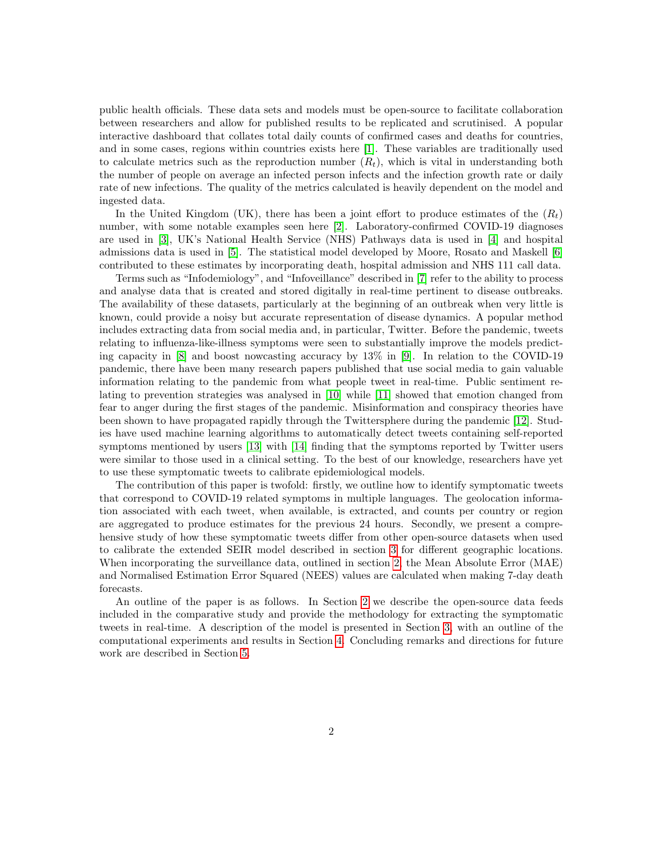public health officials. These data sets and models must be open-source to facilitate collaboration between researchers and allow for published results to be replicated and scrutinised. A popular interactive dashboard that collates total daily counts of confirmed cases and deaths for countries, and in some cases, regions within countries exists here [\[1\]](#page-8-0). These variables are traditionally used to calculate metrics such as the reproduction number  $(R_t)$ , which is vital in understanding both the number of people on average an infected person infects and the infection growth rate or daily rate of new infections. The quality of the metrics calculated is heavily dependent on the model and ingested data.

In the United Kingdom (UK), there has been a joint effort to produce estimates of the  $(R_t)$ number, with some notable examples seen here [\[2\]](#page-8-1). Laboratory-confirmed COVID-19 diagnoses are used in [\[3\]](#page-8-2), UK's National Health Service (NHS) Pathways data is used in [\[4\]](#page-8-3) and hospital admissions data is used in [\[5\]](#page-8-4). The statistical model developed by Moore, Rosato and Maskell [\[6\]](#page-9-0) contributed to these estimates by incorporating death, hospital admission and NHS 111 call data.

Terms such as "Infodemiology", and "Infoveillance" described in [\[7\]](#page-9-1) refer to the ability to process and analyse data that is created and stored digitally in real-time pertinent to disease outbreaks. The availability of these datasets, particularly at the beginning of an outbreak when very little is known, could provide a noisy but accurate representation of disease dynamics. A popular method includes extracting data from social media and, in particular, Twitter. Before the pandemic, tweets relating to influenza-like-illness symptoms were seen to substantially improve the models predicting capacity in [\[8\]](#page-9-2) and boost nowcasting accuracy by 13% in [\[9\]](#page-9-3). In relation to the COVID-19 pandemic, there have been many research papers published that use social media to gain valuable information relating to the pandemic from what people tweet in real-time. Public sentiment relating to prevention strategies was analysed in [\[10\]](#page-9-4) while [\[11\]](#page-9-5) showed that emotion changed from fear to anger during the first stages of the pandemic. Misinformation and conspiracy theories have been shown to have propagated rapidly through the Twittersphere during the pandemic [\[12\]](#page-9-6). Studies have used machine learning algorithms to automatically detect tweets containing self-reported symptoms mentioned by users [\[13\]](#page-9-7) with [\[14\]](#page-9-8) finding that the symptoms reported by Twitter users were similar to those used in a clinical setting. To the best of our knowledge, researchers have yet to use these symptomatic tweets to calibrate epidemiological models.

The contribution of this paper is twofold: firstly, we outline how to identify symptomatic tweets that correspond to COVID-19 related symptoms in multiple languages. The geolocation information associated with each tweet, when available, is extracted, and counts per country or region are aggregated to produce estimates for the previous 24 hours. Secondly, we present a comprehensive study of how these symptomatic tweets differ from other open-source datasets when used to calibrate the extended SEIR model described in section [3](#page-3-0) for different geographic locations. When incorporating the surveillance data, outlined in section [2,](#page-2-0) the Mean Absolute Error (MAE) and Normalised Estimation Error Squared (NEES) values are calculated when making 7-day death forecasts.

An outline of the paper is as follows. In Section [2](#page-2-0) we describe the open-source data feeds included in the comparative study and provide the methodology for extracting the symptomatic tweets in real-time. A description of the model is presented in Section [3,](#page-3-0) with an outline of the computational experiments and results in Section [4.](#page-4-0) Concluding remarks and directions for future work are described in Section [5.](#page-7-0)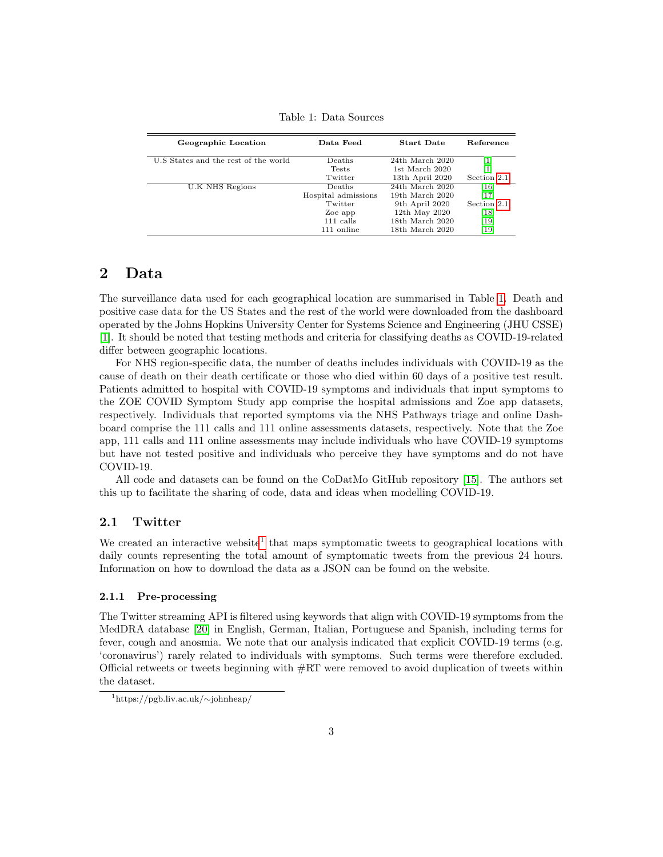| Geographic Location                  | Data Feed           | <b>Start Date</b>   | Reference   |
|--------------------------------------|---------------------|---------------------|-------------|
| U.S States and the rest of the world | Deaths              | 24th March 2020     |             |
|                                      | <b>Tests</b>        | 1st March 2020      |             |
|                                      | Twitter             | 13th April 2020     | Section 2.1 |
| U.K NHS Regions                      | Deaths              | $24th$ March $2020$ | $[16]$      |
|                                      | Hospital admissions | 19th March 2020     | [17]        |
|                                      | Twitter             | 9th April 2020      | Section 2.1 |
|                                      | Zoe app             | 12th May 2020       | 18          |
|                                      | $111$ calls         | 18th March 2020     | 19          |
|                                      | 111 online          | $18th$ March $2020$ | 19          |

<span id="page-2-2"></span>Table 1: Data Sources

# <span id="page-2-0"></span>2 Data

The surveillance data used for each geographical location are summarised in Table [1.](#page-2-2) Death and positive case data for the US States and the rest of the world were downloaded from the dashboard operated by the Johns Hopkins University Center for Systems Science and Engineering (JHU CSSE) [\[1\]](#page-8-0). It should be noted that testing methods and criteria for classifying deaths as COVID-19-related differ between geographic locations.

For NHS region-specific data, the number of deaths includes individuals with COVID-19 as the cause of death on their death certificate or those who died within 60 days of a positive test result. Patients admitted to hospital with COVID-19 symptoms and individuals that input symptoms to the ZOE COVID Symptom Study app comprise the hospital admissions and Zoe app datasets, respectively. Individuals that reported symptoms via the NHS Pathways triage and online Dashboard comprise the 111 calls and 111 online assessments datasets, respectively. Note that the Zoe app, 111 calls and 111 online assessments may include individuals who have COVID-19 symptoms but have not tested positive and individuals who perceive they have symptoms and do not have COVID-19.

All code and datasets can be found on the CoDatMo GitHub repository [\[15\]](#page-9-12). The authors set this up to facilitate the sharing of code, data and ideas when modelling COVID-19.

#### <span id="page-2-1"></span>2.1 Twitter

We created an interactive website<sup>[1](#page-2-3)</sup> that maps symptomatic tweets to geographical locations with daily counts representing the total amount of symptomatic tweets from the previous 24 hours. Information on how to download the data as a JSON can be found on the website.

#### 2.1.1 Pre-processing

The Twitter streaming API is filtered using keywords that align with COVID-19 symptoms from the MedDRA database [\[20\]](#page-10-1) in English, German, Italian, Portuguese and Spanish, including terms for fever, cough and anosmia. We note that our analysis indicated that explicit COVID-19 terms (e.g. 'coronavirus') rarely related to individuals with symptoms. Such terms were therefore excluded. Official retweets or tweets beginning with  $\#\mathrm{RT}$  were removed to avoid duplication of tweets within the dataset.

<span id="page-2-3"></span><sup>1</sup>https://pgb.liv.ac.uk/∼johnheap/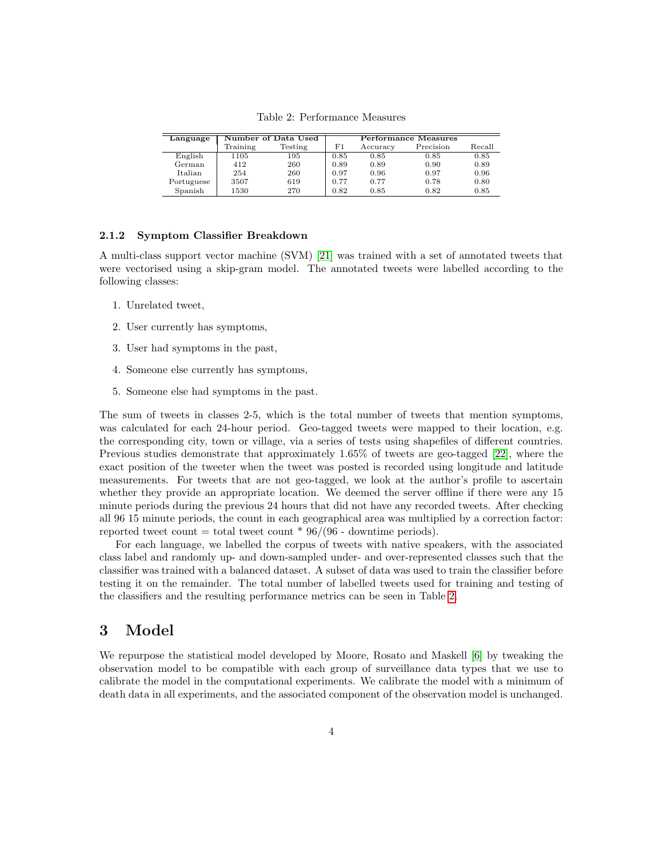| Language       |          | Number of Data Used      |      |          | Performance Measures |        |
|----------------|----------|--------------------------|------|----------|----------------------|--------|
|                | Training | $\operatorname{Testing}$ | F1   | Accuracy | Precision            | Recall |
| English        | 1105     | 195                      | 0.85 | 0.85     | 0.85                 | 0.85   |
| German         | 412      | 260                      | 0.89 | 0.89     | 0.90                 | 0.89   |
| <b>Italian</b> | 254      | 260                      | 0.97 | 0.96     | 0.97                 | 0.96   |
| Portuguese     | 3507     | 619                      | 0.77 | 0.77     | 0.78                 | 0.80   |
| Spanish        | 1530     | 270                      | 0.82 | 0.85     | 0.82                 | 0.85   |

<span id="page-3-1"></span>Table 2: Performance Measures

#### 2.1.2 Symptom Classifier Breakdown

A multi-class support vector machine (SVM) [\[21\]](#page-10-2) was trained with a set of annotated tweets that were vectorised using a skip-gram model. The annotated tweets were labelled according to the following classes:

- 1. Unrelated tweet,
- 2. User currently has symptoms,
- 3. User had symptoms in the past,
- 4. Someone else currently has symptoms,
- 5. Someone else had symptoms in the past.

The sum of tweets in classes 2-5, which is the total number of tweets that mention symptoms, was calculated for each 24-hour period. Geo-tagged tweets were mapped to their location, e.g. the corresponding city, town or village, via a series of tests using shapefiles of different countries. Previous studies demonstrate that approximately 1.65% of tweets are geo-tagged [\[22\]](#page-10-3), where the exact position of the tweeter when the tweet was posted is recorded using longitude and latitude measurements. For tweets that are not geo-tagged, we look at the author's profile to ascertain whether they provide an appropriate location. We deemed the server offline if there were any 15 minute periods during the previous 24 hours that did not have any recorded tweets. After checking all 96 15 minute periods, the count in each geographical area was multiplied by a correction factor: reported tweet count = total tweet count  $* 96/(96 -$  downtime periods).

For each language, we labelled the corpus of tweets with native speakers, with the associated class label and randomly up- and down-sampled under- and over-represented classes such that the classifier was trained with a balanced dataset. A subset of data was used to train the classifier before testing it on the remainder. The total number of labelled tweets used for training and testing of the classifiers and the resulting performance metrics can be seen in Table [2.](#page-3-1)

# <span id="page-3-0"></span>3 Model

We repurpose the statistical model developed by Moore, Rosato and Maskell [\[6\]](#page-9-0) by tweaking the observation model to be compatible with each group of surveillance data types that we use to calibrate the model in the computational experiments. We calibrate the model with a minimum of death data in all experiments, and the associated component of the observation model is unchanged.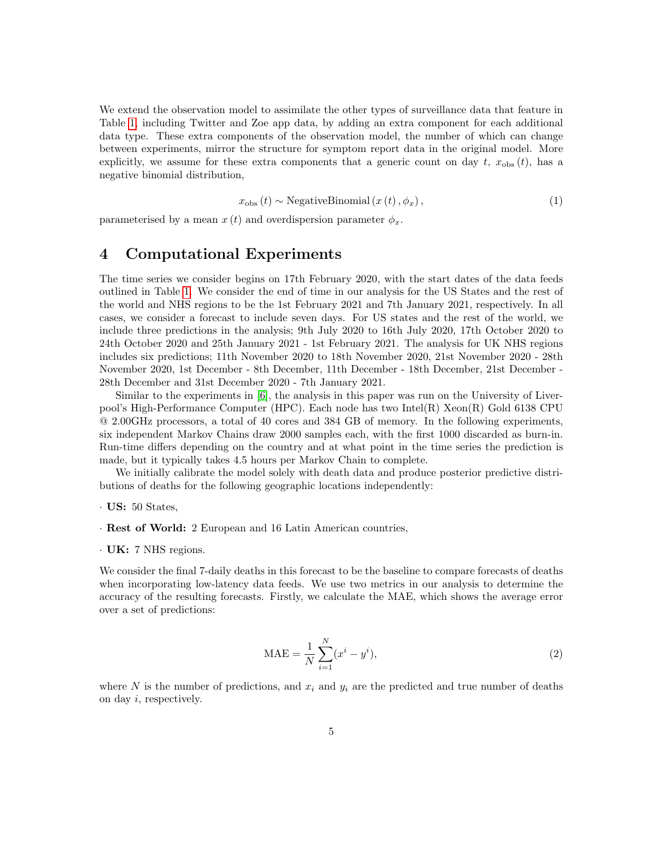We extend the observation model to assimilate the other types of surveillance data that feature in Table [1,](#page-2-2) including Twitter and Zoe app data, by adding an extra component for each additional data type. These extra components of the observation model, the number of which can change between experiments, mirror the structure for symptom report data in the original model. More explicitly, we assume for these extra components that a generic count on day t,  $x_{obs}(t)$ , has a negative binomial distribution,

$$
x_{\text{obs}}(t) \sim \text{NegativeBinomial}(x(t), \phi_x), \tag{1}
$$

parameterised by a mean  $x(t)$  and overdispersion parameter  $\phi_x$ .

### <span id="page-4-0"></span>4 Computational Experiments

The time series we consider begins on 17th February 2020, with the start dates of the data feeds outlined in Table [1.](#page-2-2) We consider the end of time in our analysis for the US States and the rest of the world and NHS regions to be the 1st February 2021 and 7th January 2021, respectively. In all cases, we consider a forecast to include seven days. For US states and the rest of the world, we include three predictions in the analysis; 9th July 2020 to 16th July 2020, 17th October 2020 to 24th October 2020 and 25th January 2021 - 1st February 2021. The analysis for UK NHS regions includes six predictions; 11th November 2020 to 18th November 2020, 21st November 2020 - 28th November 2020, 1st December - 8th December, 11th December - 18th December, 21st December - 28th December and 31st December 2020 - 7th January 2021.

Similar to the experiments in [\[6\]](#page-9-0), the analysis in this paper was run on the University of Liverpool's High-Performance Computer (HPC). Each node has two Intel(R) Xeon(R) Gold 6138 CPU @ 2.00GHz processors, a total of 40 cores and 384 GB of memory. In the following experiments, six independent Markov Chains draw 2000 samples each, with the first 1000 discarded as burn-in. Run-time differs depending on the country and at what point in the time series the prediction is made, but it typically takes 4.5 hours per Markov Chain to complete.

We initially calibrate the model solely with death data and produce posterior predictive distributions of deaths for the following geographic locations independently:

- · US: 50 States,
- · Rest of World: 2 European and 16 Latin American countries,
- $\cdot$  UK: 7 NHS regions.

We consider the final 7-daily deaths in this forecast to be the baseline to compare forecasts of deaths when incorporating low-latency data feeds. We use two metrics in our analysis to determine the accuracy of the resulting forecasts. Firstly, we calculate the MAE, which shows the average error over a set of predictions:

$$
MAE = \frac{1}{N} \sum_{i=1}^{N} (x^i - y^i),
$$
\n(2)

where N is the number of predictions, and  $x_i$  and  $y_i$  are the predicted and true number of deaths on day i, respectively.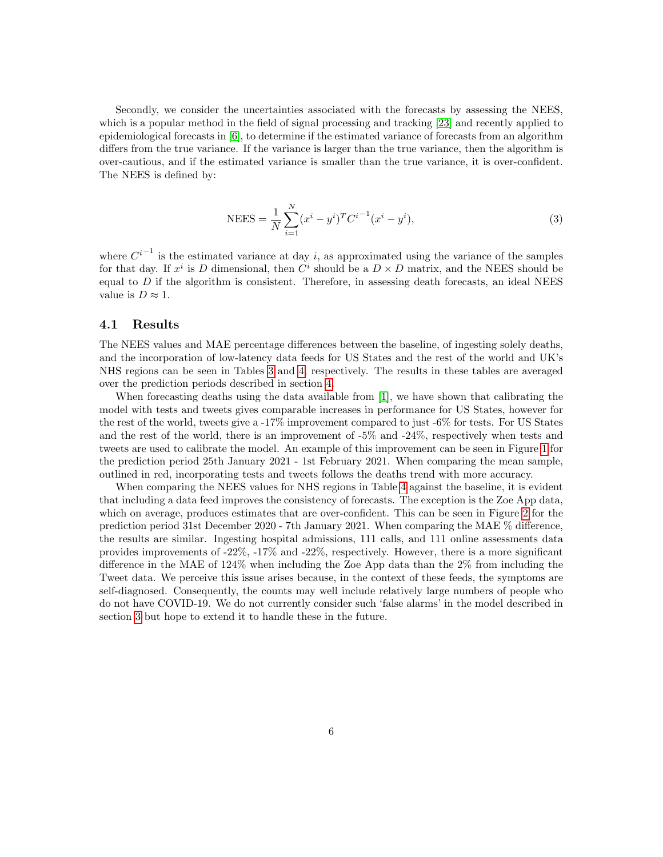Secondly, we consider the uncertainties associated with the forecasts by assessing the NEES, which is a popular method in the field of signal processing and tracking [\[23\]](#page-10-4) and recently applied to epidemiological forecasts in [\[6\]](#page-9-0), to determine if the estimated variance of forecasts from an algorithm differs from the true variance. If the variance is larger than the true variance, then the algorithm is over-cautious, and if the estimated variance is smaller than the true variance, it is over-confident. The NEES is defined by:

NEES = 
$$
\frac{1}{N} \sum_{i=1}^{N} (x^{i} - y^{i})^{T} C^{i-1} (x^{i} - y^{i}),
$$
 (3)

where  $C^{i-1}$  is the estimated variance at day i, as approximated using the variance of the samples for that day. If  $x^i$  is D dimensional, then  $C^i$  should be a  $D \times D$  matrix, and the NEES should be equal to  $D$  if the algorithm is consistent. Therefore, in assessing death forecasts, an ideal NEES value is  $D \approx 1$ .

#### 4.1 Results

The NEES values and MAE percentage differences between the baseline, of ingesting solely deaths, and the incorporation of low-latency data feeds for US States and the rest of the world and UK's NHS regions can be seen in Tables [3](#page-11-0) and [4,](#page-12-0) respectively. The results in these tables are averaged over the prediction periods described in section [4.](#page-4-0)

When forecasting deaths using the data available from [\[1\]](#page-8-0), we have shown that calibrating the model with tests and tweets gives comparable increases in performance for US States, however for the rest of the world, tweets give a -17% improvement compared to just -6% for tests. For US States and the rest of the world, there is an improvement of -5% and -24%, respectively when tests and tweets are used to calibrate the model. An example of this improvement can be seen in Figure [1](#page-6-0) for the prediction period 25th January 2021 - 1st February 2021. When comparing the mean sample, outlined in red, incorporating tests and tweets follows the deaths trend with more accuracy.

When comparing the NEES values for NHS regions in Table [4](#page-12-0) against the baseline, it is evident that including a data feed improves the consistency of forecasts. The exception is the Zoe App data, which on average, produces estimates that are over-confident. This can be seen in Figure [2](#page-7-1) for the prediction period 31st December 2020 - 7th January 2021. When comparing the MAE % difference, the results are similar. Ingesting hospital admissions, 111 calls, and 111 online assessments data provides improvements of -22%, -17% and -22%, respectively. However, there is a more significant difference in the MAE of 124% when including the Zoe App data than the 2% from including the Tweet data. We perceive this issue arises because, in the context of these feeds, the symptoms are self-diagnosed. Consequently, the counts may well include relatively large numbers of people who do not have COVID-19. We do not currently consider such 'false alarms' in the model described in section [3](#page-3-0) but hope to extend it to handle these in the future.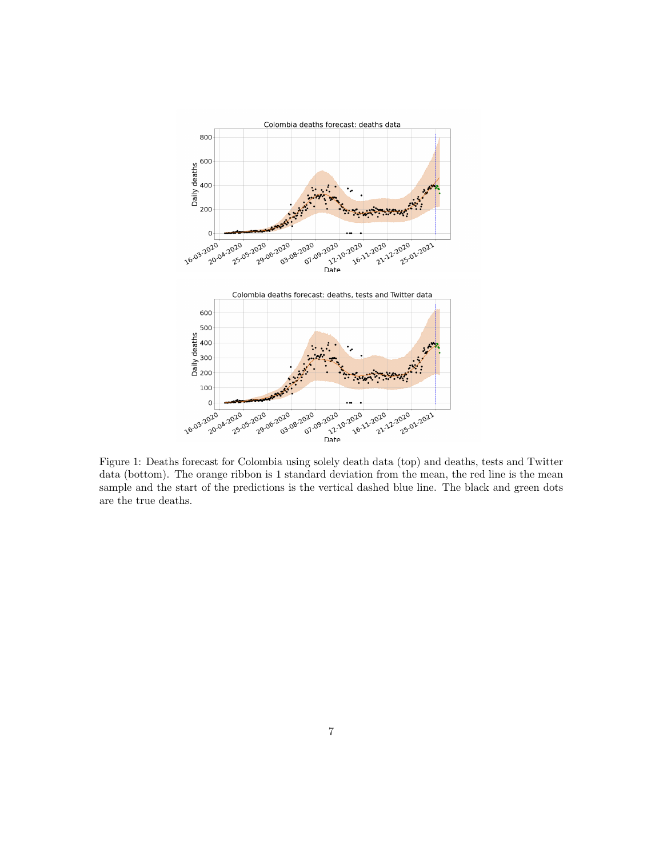

<span id="page-6-0"></span>Figure 1: Deaths forecast for Colombia using solely death data (top) and deaths, tests and Twitter data (bottom). The orange ribbon is 1 standard deviation from the mean, the red line is the mean sample and the start of the predictions is the vertical dashed blue line. The black and green dots are the true deaths.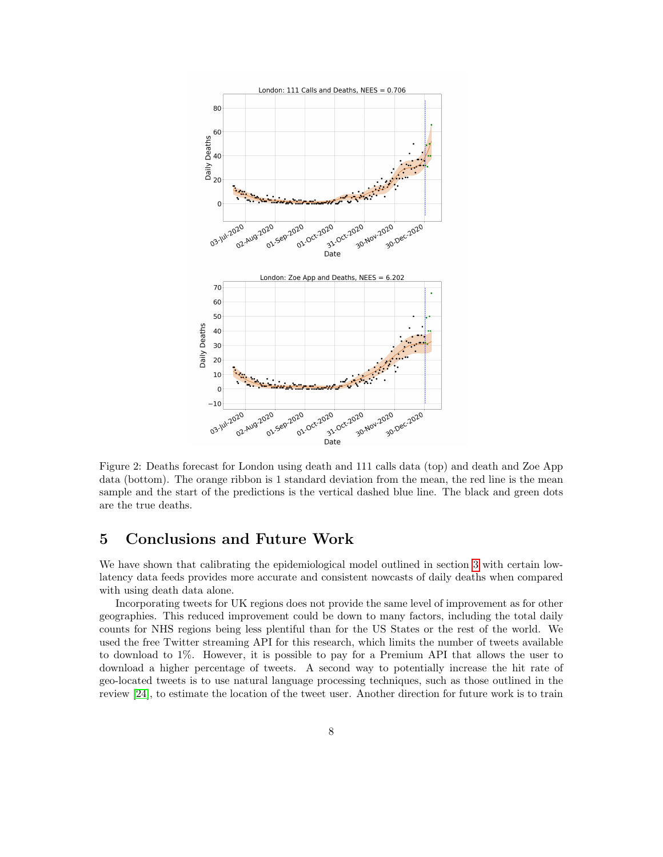

<span id="page-7-1"></span>Figure 2: Deaths forecast for London using death and 111 calls data (top) and death and Zoe App data (bottom). The orange ribbon is 1 standard deviation from the mean, the red line is the mean sample and the start of the predictions is the vertical dashed blue line. The black and green dots are the true deaths.

# <span id="page-7-0"></span>5 Conclusions and Future Work

We have shown that calibrating the epidemiological model outlined in section [3](#page-3-0) with certain lowlatency data feeds provides more accurate and consistent nowcasts of daily deaths when compared with using death data alone.

Incorporating tweets for UK regions does not provide the same level of improvement as for other geographies. This reduced improvement could be down to many factors, including the total daily counts for NHS regions being less plentiful than for the US States or the rest of the world. We used the free Twitter streaming API for this research, which limits the number of tweets available to download to 1%. However, it is possible to pay for a Premium API that allows the user to download a higher percentage of tweets. A second way to potentially increase the hit rate of geo-located tweets is to use natural language processing techniques, such as those outlined in the review [\[24\]](#page-10-5), to estimate the location of the tweet user. Another direction for future work is to train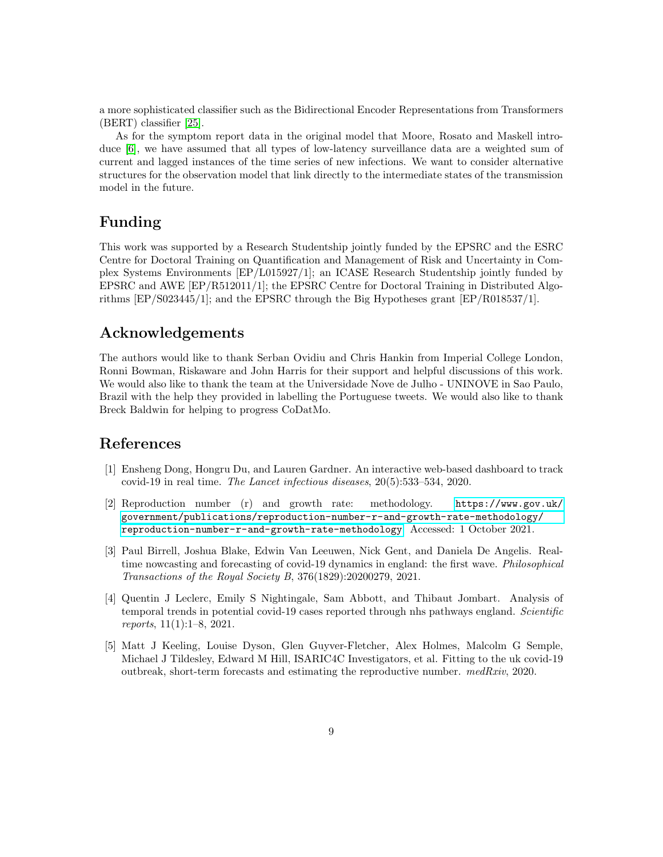a more sophisticated classifier such as the Bidirectional Encoder Representations from Transformers (BERT) classifier [\[25\]](#page-10-6).

As for the symptom report data in the original model that Moore, Rosato and Maskell introduce [\[6\]](#page-9-0), we have assumed that all types of low-latency surveillance data are a weighted sum of current and lagged instances of the time series of new infections. We want to consider alternative structures for the observation model that link directly to the intermediate states of the transmission model in the future.

# Funding

This work was supported by a Research Studentship jointly funded by the EPSRC and the ESRC Centre for Doctoral Training on Quantification and Management of Risk and Uncertainty in Complex Systems Environments [EP/L015927/1]; an ICASE Research Studentship jointly funded by EPSRC and AWE [EP/R512011/1]; the EPSRC Centre for Doctoral Training in Distributed Algorithms [EP/S023445/1]; and the EPSRC through the Big Hypotheses grant [EP/R018537/1].

### Acknowledgements

The authors would like to thank Serban Ovidiu and Chris Hankin from Imperial College London, Ronni Bowman, Riskaware and John Harris for their support and helpful discussions of this work. We would also like to thank the team at the Universidade Nove de Julho - UNINOVE in Sao Paulo, Brazil with the help they provided in labelling the Portuguese tweets. We would also like to thank Breck Baldwin for helping to progress CoDatMo.

### References

- <span id="page-8-0"></span>[1] Ensheng Dong, Hongru Du, and Lauren Gardner. An interactive web-based dashboard to track covid-19 in real time. The Lancet infectious diseases, 20(5):533–534, 2020.
- <span id="page-8-1"></span>[2] Reproduction number (r) and growth rate: methodology. [https://www.gov.uk/](https://www.gov.uk/government/publications/reproduction-number-r-and-growth-rate-methodology/reproduction-number-r-and-growth-rate-methodology) [government/publications/reproduction-number-r-and-growth-rate-methodology/](https://www.gov.uk/government/publications/reproduction-number-r-and-growth-rate-methodology/reproduction-number-r-and-growth-rate-methodology) [reproduction-number-r-and-growth-rate-methodology](https://www.gov.uk/government/publications/reproduction-number-r-and-growth-rate-methodology/reproduction-number-r-and-growth-rate-methodology). Accessed: 1 October 2021.
- <span id="page-8-2"></span>[3] Paul Birrell, Joshua Blake, Edwin Van Leeuwen, Nick Gent, and Daniela De Angelis. Realtime nowcasting and forecasting of covid-19 dynamics in england: the first wave. *Philosophical* Transactions of the Royal Society B, 376(1829):20200279, 2021.
- <span id="page-8-3"></span>[4] Quentin J Leclerc, Emily S Nightingale, Sam Abbott, and Thibaut Jombart. Analysis of temporal trends in potential covid-19 cases reported through nhs pathways england. Scientific reports, 11(1):1–8, 2021.
- <span id="page-8-4"></span>[5] Matt J Keeling, Louise Dyson, Glen Guyver-Fletcher, Alex Holmes, Malcolm G Semple, Michael J Tildesley, Edward M Hill, ISARIC4C Investigators, et al. Fitting to the uk covid-19 outbreak, short-term forecasts and estimating the reproductive number. medRxiv, 2020.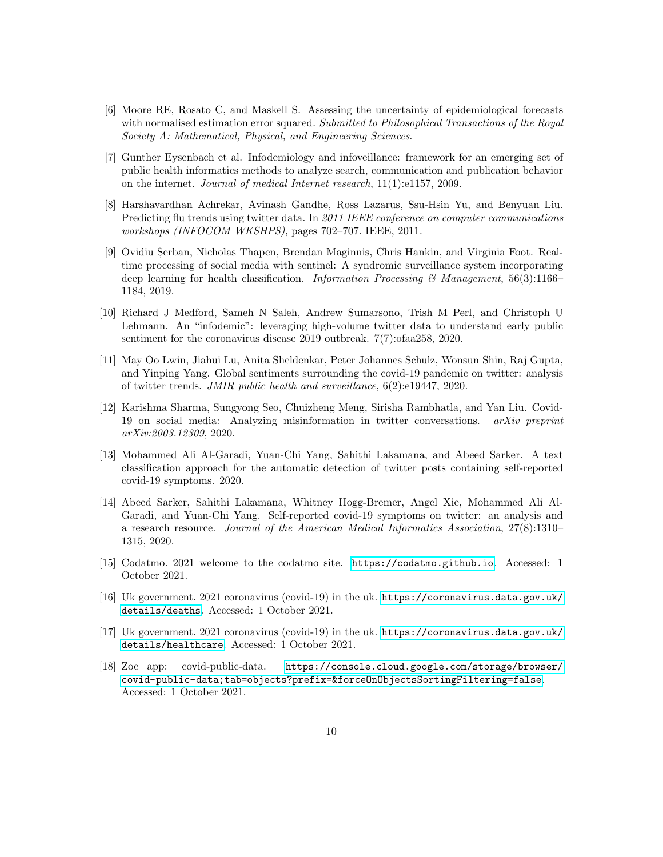- <span id="page-9-0"></span>[6] Moore RE, Rosato C, and Maskell S. Assessing the uncertainty of epidemiological forecasts with normalised estimation error squared. Submitted to Philosophical Transactions of the Royal Society A: Mathematical, Physical, and Engineering Sciences.
- <span id="page-9-1"></span>[7] Gunther Eysenbach et al. Infodemiology and infoveillance: framework for an emerging set of public health informatics methods to analyze search, communication and publication behavior on the internet. Journal of medical Internet research, 11(1):e1157, 2009.
- <span id="page-9-2"></span>[8] Harshavardhan Achrekar, Avinash Gandhe, Ross Lazarus, Ssu-Hsin Yu, and Benyuan Liu. Predicting flu trends using twitter data. In 2011 IEEE conference on computer communications workshops (INFOCOM WKSHPS), pages 702–707. IEEE, 2011.
- <span id="page-9-3"></span>[9] Ovidiu Şerban, Nicholas Thapen, Brendan Maginnis, Chris Hankin, and Virginia Foot. Realtime processing of social media with sentinel: A syndromic surveillance system incorporating deep learning for health classification. Information Processing & Management, 56(3):1166– 1184, 2019.
- <span id="page-9-4"></span>[10] Richard J Medford, Sameh N Saleh, Andrew Sumarsono, Trish M Perl, and Christoph U Lehmann. An "infodemic": leveraging high-volume twitter data to understand early public sentiment for the coronavirus disease 2019 outbreak. 7(7):ofaa258, 2020.
- <span id="page-9-5"></span>[11] May Oo Lwin, Jiahui Lu, Anita Sheldenkar, Peter Johannes Schulz, Wonsun Shin, Raj Gupta, and Yinping Yang. Global sentiments surrounding the covid-19 pandemic on twitter: analysis of twitter trends. JMIR public health and surveillance, 6(2):e19447, 2020.
- <span id="page-9-6"></span>[12] Karishma Sharma, Sungyong Seo, Chuizheng Meng, Sirisha Rambhatla, and Yan Liu. Covid-19 on social media: Analyzing misinformation in twitter conversations. arXiv preprint arXiv:2003.12309, 2020.
- <span id="page-9-7"></span>[13] Mohammed Ali Al-Garadi, Yuan-Chi Yang, Sahithi Lakamana, and Abeed Sarker. A text classification approach for the automatic detection of twitter posts containing self-reported covid-19 symptoms. 2020.
- <span id="page-9-8"></span>[14] Abeed Sarker, Sahithi Lakamana, Whitney Hogg-Bremer, Angel Xie, Mohammed Ali Al-Garadi, and Yuan-Chi Yang. Self-reported covid-19 symptoms on twitter: an analysis and a research resource. Journal of the American Medical Informatics Association, 27(8):1310– 1315, 2020.
- <span id="page-9-12"></span>[15] Codatmo. 2021 welcome to the codatmo site. <https://codatmo.github.io>. Accessed: 1 October 2021.
- <span id="page-9-9"></span>[16] Uk government. 2021 coronavirus (covid-19) in the uk. [https://coronavirus.data.gov.uk/](https://coronavirus.data.gov.uk/details/deaths) [details/deaths](https://coronavirus.data.gov.uk/details/deaths). Accessed: 1 October 2021.
- <span id="page-9-10"></span>[17] Uk government. 2021 coronavirus (covid-19) in the uk. [https://coronavirus.data.gov.uk/](https://coronavirus.data.gov.uk/details/healthcare) [details/healthcare](https://coronavirus.data.gov.uk/details/healthcare). Accessed: 1 October 2021.
- <span id="page-9-11"></span>[18] Zoe app: covid-public-data. [https://console.cloud.google.com/storage/browser/](https://console.cloud.google.com/storage/browser/covid-public-data;tab=objects?prefix=&forceOnObjectsSortingFiltering=false) [covid-public-data;tab=objects?prefix=&forceOnObjectsSortingFiltering=false](https://console.cloud.google.com/storage/browser/covid-public-data;tab=objects?prefix=&forceOnObjectsSortingFiltering=false). Accessed: 1 October 2021.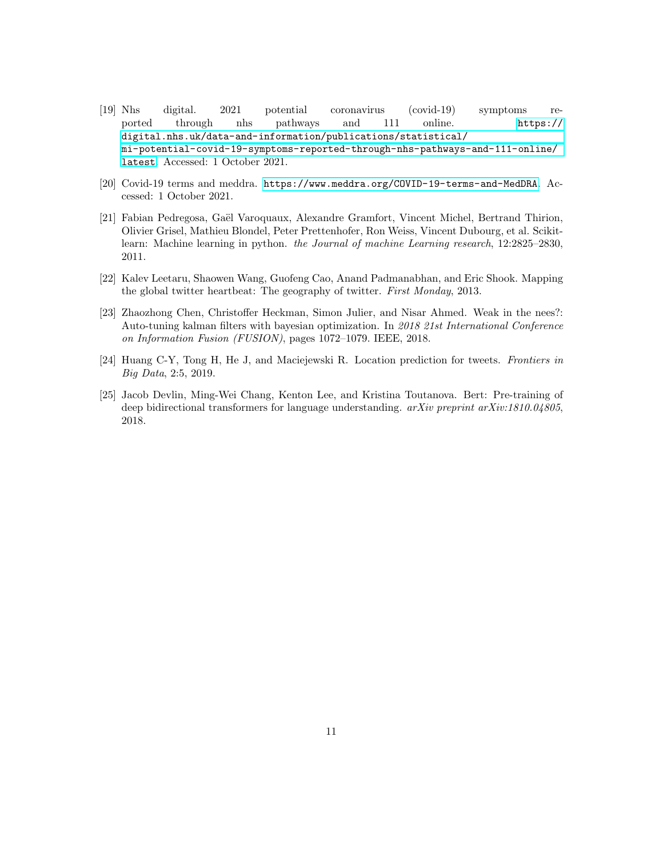- <span id="page-10-0"></span>[19] Nhs digital. 2021 potential coronavirus (covid-19) symptoms reported through nhs pathways and 111 online. [https://](https://digital.nhs.uk/data-and-information/publications/statistical/mi-potential-covid-19-symptoms-reported-through-nhs-pathways-and-111-online/latest) [digital.nhs.uk/data-and-information/publications/statistical/](https://digital.nhs.uk/data-and-information/publications/statistical/mi-potential-covid-19-symptoms-reported-through-nhs-pathways-and-111-online/latest) [mi-potential-covid-19-symptoms-reported-through-nhs-pathways-and-111-online/](https://digital.nhs.uk/data-and-information/publications/statistical/mi-potential-covid-19-symptoms-reported-through-nhs-pathways-and-111-online/latest) [latest](https://digital.nhs.uk/data-and-information/publications/statistical/mi-potential-covid-19-symptoms-reported-through-nhs-pathways-and-111-online/latest). Accessed: 1 October 2021.
- <span id="page-10-1"></span>[20] Covid-19 terms and meddra. <https://www.meddra.org/COVID-19-terms-and-MedDRA>. Accessed: 1 October 2021.
- <span id="page-10-2"></span>[21] Fabian Pedregosa, Gaël Varoquaux, Alexandre Gramfort, Vincent Michel, Bertrand Thirion, Olivier Grisel, Mathieu Blondel, Peter Prettenhofer, Ron Weiss, Vincent Dubourg, et al. Scikitlearn: Machine learning in python. the Journal of machine Learning research, 12:2825–2830, 2011.
- <span id="page-10-3"></span>[22] Kalev Leetaru, Shaowen Wang, Guofeng Cao, Anand Padmanabhan, and Eric Shook. Mapping the global twitter heartbeat: The geography of twitter. First Monday, 2013.
- <span id="page-10-4"></span>[23] Zhaozhong Chen, Christoffer Heckman, Simon Julier, and Nisar Ahmed. Weak in the nees?: Auto-tuning kalman filters with bayesian optimization. In 2018 21st International Conference on Information Fusion (FUSION), pages 1072–1079. IEEE, 2018.
- <span id="page-10-5"></span>[24] Huang C-Y, Tong H, He J, and Maciejewski R. Location prediction for tweets. Frontiers in Big Data, 2:5, 2019.
- <span id="page-10-6"></span>[25] Jacob Devlin, Ming-Wei Chang, Kenton Lee, and Kristina Toutanova. Bert: Pre-training of deep bidirectional transformers for language understanding.  $arXiv$  preprint  $arXiv:1810.04805$ , 2018.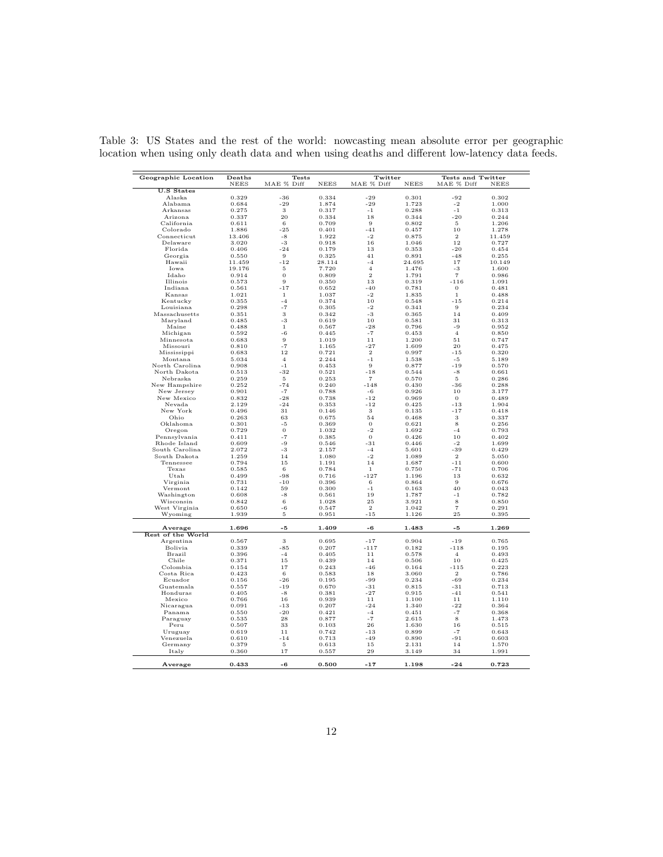<span id="page-11-0"></span>

| Geographic Location         | Deaths      | Tests          |                | Twitter           |                | <b>Tests and Twitter</b> |                |
|-----------------------------|-------------|----------------|----------------|-------------------|----------------|--------------------------|----------------|
|                             | <b>NEES</b> | MAE % Diff     | <b>NEES</b>    | MAE % Diff        | <b>NEES</b>    | MAE % Diff               | <b>NEES</b>    |
| <b>U.S States</b><br>Alaska | 0.329       | $-36$          | 0.334          | $-29$             | 0.301          | $-92$                    | 0.302          |
| Alabama                     | 0.684       | $-29$          | 1.874          | $-29$             | 1.723          | $-2$                     | 1.000          |
|                             | 0.275       | 3              |                | $-1$              |                | $-1$                     |                |
| Arkansas<br>Arizona         | 0.337       | 20             | 0.317<br>0.334 | 18                | 0.288<br>0.344 | $-20$                    | 0.313          |
| California                  | 0.611       | 6              | 0.709          | 9                 | 0.802          | 5                        | 0.244<br>1.206 |
| Colorado                    | 1.886       | $-25$          | 0.401          | $-41$             | 0.457          | 10                       | 1.278          |
|                             |             |                |                |                   |                |                          |                |
| Connecticut                 | 13.406      | $-8$           | 1.922          | -2<br>16          | 0.875          | $\boldsymbol{2}$<br>12   | 11.459         |
| Delaware                    | 3.020       | $-3$           | 0.918          |                   | 1.046          |                          | 0.727          |
| Florida                     | 0.406       | $-24$          | 0.179          | 13                | 0.353          | $-20$                    | 0.454          |
| Georgia                     | 0.550       | 9              | 0.325          | 41                | 0.891          | $-48$                    | 0.255          |
| Hawaii                      | 11.459      | $-12$          | 28.114         | $-4$              | 24.695         | 17                       | 10.149         |
| Iowa                        | 19.176      | 5              | 7.720          | $\overline{4}$    | 1.476          | -3                       | 1.600          |
| Idaho                       | 0.914       | $\mathbf 0$    | 0.809          | $\mathcal{D}$     | 1.791          | $\overline{7}$           | 0.986          |
| Illinois                    | 0.573       | 9              | 0.350          | 13                | 0.319          | $-116$                   | 1.091          |
| Indiana                     | 0.561       | $-17$          | 0.652          | $-40$             | 0.781          | $\mathbf 0$              | 0.481          |
| Kansas                      | 1.021       | $\mathbf{1}$   | 1.037          | $-2$              | 1.835          | $\mathbf{1}$             | 0.488          |
| Kentucky                    | 0.355       | $-4$           | 0.374          | 10                | 0.548          | $-15$                    | 0.214          |
| Louisiana                   | 0.298       | $-7$           | 0.305          | $-2$              | 0.341          | 9                        | 0.234          |
| Massachusetts               | 0.351       | 3              | 0.342          | $-3$              | 0.365          | 14                       | 0.409          |
| Maryland                    | 0.485       | $-3$           | 0.619          | 10                | 0.581          | 31                       | 0.313          |
| Maine                       | 0.488       | $1\,$          | 0.567          | $-28$             | 0.796          | -9                       | 0.952          |
| Michigan                    | 0.592       | $-6$           | 0.445          | $-7$              | 0.453          | $\overline{4}$           | 0.850          |
| Minnesota                   | 0.683       | 9              | 1.019          | 11                | 1.200          | 51                       | 0.747          |
| Missouri                    | 0.810       | $-7$           | 1.165          | $-27$             | 1.609          | 20                       | 0.475          |
| Mississippi                 | 0.683       | 12             | 0.721          | $\overline{2}$    | 0.997          | $-15$                    | 0.320          |
| Montana                     | 5.034       | $\overline{4}$ | 2.244          | $-1$              | 1.538          | $-5$                     | 5.189          |
| North Carolina              | 0.908       | $-1$           | 0.453          | 9                 | 0.877          | $-19$                    | 0.570          |
| North Dakota                | 0.513       | $-32$          | 0.521          | $-18$             | 0.544          | $-8$                     | 0.661          |
| Nebraska                    | 0.259       | $\,$ 5 $\,$    | 0.253          | $\scriptstyle{7}$ | 0.570          | $\,$ 5 $\,$              | 0.286          |
| New Hampshire               | 0.252       | $-74$          | 0.240          | $-148$            | 0.430          | -36                      | 0.288          |
| New Jersey                  | 0.901       | $-7$           | 0.788          | -6                | 0.926          | 10                       | 3.177          |
| New Mexico                  | 0.832       | $-28$          | 0.738          | $-12$             | 0.969          | $\bf{0}$                 | 0.489          |
| Nevada                      | 2.129       | $-24$          | 0.353          | $-12$             | 0.425          | $^{\rm -13}$             | 1.904          |
| New York                    | 0.496       | 31             | 0.146          | 3                 | 0.135          | $-17$                    | 0.418          |
| Ohio                        | 0.263       | 63             | 0.675          | 54                | 0.468          | 3                        | 0.337          |
| Oklahoma                    | 0.301       | $-5$           | 0.369          | $\Omega$          | 0.621          | 8                        | 0.256          |
| Oregon                      | 0.729       | $\sigma$       | 1.032          | $-2$              | 1.692          | $-4$                     | 0.793          |
| Pennsylvania                | 0.411       | $-7$           | 0.385          | $\mathbf 0$       | 0.426          | 10                       | 0.402          |
| Rhode Island                | 0.609       | -9             | 0.546          | $-31$             | 0.446          | $-2$                     | 1.699          |
| South Carolina              | 2.072       | -3             | 2.157          | $-4$              | 5.601          | $-39$                    | 0.429          |
| South Dakota                | 1.259       | 14             | 1.080          | $-2$              | 1.089          | $\overline{2}$           | 5.050          |
| Tennessee                   | 0.794       | 15             | 1.191          | 14                | 1.687          | $-11$                    | 0.600          |
| Texas                       | 0.585       | 6              | 0.784          | $\mathbf{1}$      | 0.750          | $-71$                    | 0.706          |
| Utah                        | 0.499       | $-98$          | 0.716          | $-127$            | 1.196          | 13                       | 0.632          |
| Virginia                    | 0.731       | $-10$          | 0.396          | 6                 | 0.864          | 9                        | 0.676          |
| Vermont                     | 0.142       | 59             | 0.300          | $-1$              | 0.163          | 40                       | 0.043          |
| Washington                  | 0.608       | $-8$           | 0.561          | 19                | 1.787          | $-1$                     | 0.782          |
| Wisconsin                   | 0.842       | 6              | 1.028          | 25                | 3.921          | 8                        | 0.850          |
| West Virginia               | 0.650       | -6             | 0.547          | $\,2$             | 1.042          | $\overline{\tau}$        | 0.291          |
| Wyoming                     | 1.939       | $\bf 5$        | 0.951          | $-15$             | 1.126          | 25                       | 0.395          |
|                             |             |                |                |                   |                |                          |                |
| Average                     | 1.696       | $-5$           | 1.409          | -6                | 1.483          | -5                       | 1.269          |
| Rest of the World           |             |                |                |                   |                |                          |                |
| Argentina                   | 0.567       | 3              | 0.695          | $-17$             | 0.904          | $-19$                    | 0.765          |
|                             |             |                |                |                   |                |                          |                |
| Bolivia                     | 0.339       | $-85$          | 0.207          | $-117$            | 0.182          | $-118$                   | 0.195          |
| Brazil                      | 0.396       | $-4$           | 0.405          | $1\,1$            | 0.578          | $\overline{4}$           | 0.493          |
| Chile                       | 0.371       | 15             | 0.439          | 14                | 0.506          | 10                       | 0.425          |
| Colombia                    | 0.154       | 17             | 0.243          | $-46$             | 0.164          | $-115$                   | 0.223          |
| Costa Rica                  | 0.423       | 6              | 0.583          | 18                | 3.060          | $\overline{2}$           | 0.786          |
| Ecuador                     | 0.156       | $-26$          | 0.195          | $-99$             | 0.234          | $-69$                    | 0.234          |
| Guatemala                   | 0.557       | $-19$          | 0.670          | $-31$             | 0.815          | $-31$                    | 0.713          |
| Honduras                    | 0.405       | $-8$           | 0.381          | $-27$             | 0.915          | $-41$                    | 0.541          |
| Mexico                      | 0.766       | 16             | 0.939          | 11                | 1.100          | 11                       | 1.110          |
| Nicaragua                   | 0.091       | $-1.3$         | 0.207          | $-24$             | 1.340          | $-22$                    | 0.364          |
| Panama                      | 0.550       | $-20$          | 0.421          | $-4$              | 0.451          | $-7$                     | 0.368          |
| Paraguay                    | 0.535       | 28             | 0.877          | -7                | 2.615          | 8                        | 1.473          |
| Peru                        | 0.507       | 33             | 0.103          | 26                | 1.630          | 16                       | 0.515          |
| Uruguay                     | 0.619       | 11             | 0.742          | $-13$             | 0.899          | $-7$                     | 0.643          |
| Venezuela                   | 0.610       | $-14$          | 0.713          | $-49$             | 0.890          | $-91$                    | 0.603          |
| Germany                     | 0.379       | 5              | 0.613          | 15                | 2.131          | 14                       | 1.570          |
| Italy                       | 0.360       | 17             | 0.557          | 29                | 3.149          | 34                       | 1.991          |
|                             |             |                |                |                   |                |                          |                |
| Average                     | 0.433       | $-6$           | 0.500          | $-17$             | 1.198          | $-24$                    | 0.723          |

Table 3: US States and the rest of the world: nowcasting mean absolute error per geographic location when using only death data and when using deaths and different low-latency data feeds.